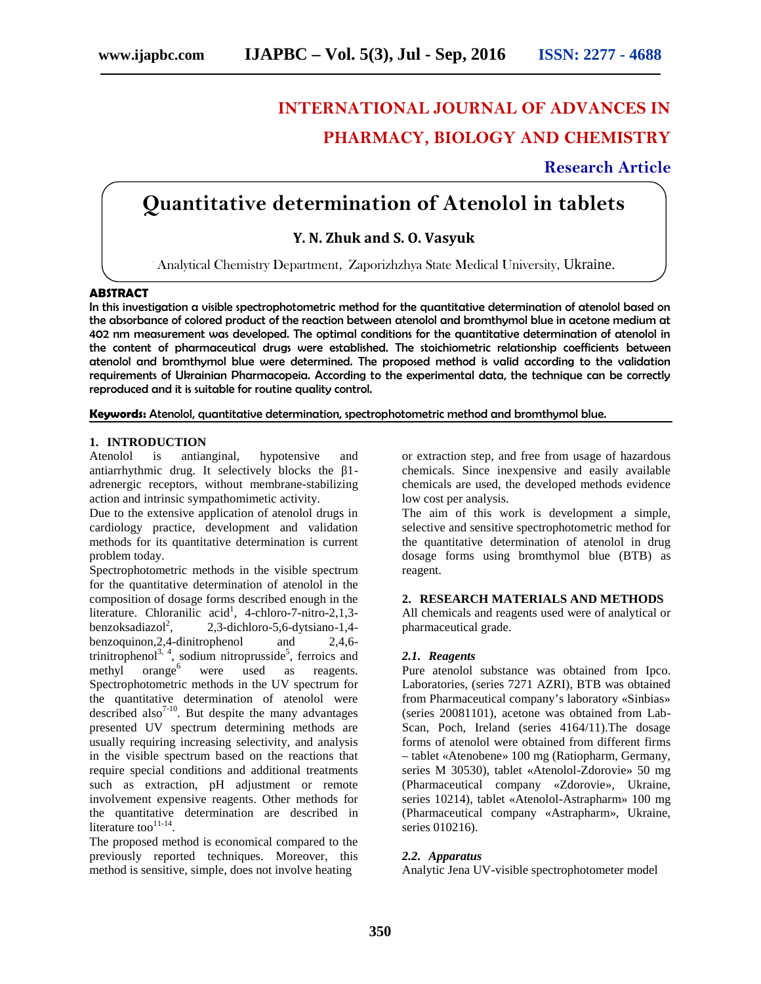# **INTERNATIONAL JOURNAL OF ADVANCES IN PHARMACY, BIOLOGY AND CHEMISTRY**

# **Research Article**

# **Quantitative determination of Atenolol in tablets**

## **Y. N. Zhuk and S. O. Vasyuk**

. Analytical Chemistry Department, Zaporizhzhya State Medical University, Ukraine.

#### **ABSTRACT**

In this investigation a visible spectrophotometric method for the quantitative determination of atenolol based on the absorbance of colored product of the reaction between atenolol and bromthymol blue in acetone medium at 402 nm measurement was developed. The optimal conditions for the quantitative determination of atenolol in the content of pharmaceutical drugs were established. The stoichiometric relationship coefficients between atenolol and bromthymol blue were determined. The proposed method is valid according to the validation requirements of Ukrainian Pharmacopeia. According to the experimental data, the technique can be correctly reproduced and it is suitable for routine quality control.

**Keywords:** Atenolol, quantitative determination, spectrophotometric method and bromthymol blue.

#### **1. INTRODUCTION**

Atenolol is antianginal, hypotensive and antiarrhythmic drug. It selectively blocks the 1adrenergic receptors, without membrane-stabilizing action and intrinsic sympathomimetic activity.

Due to the extensive application of atenolol drugs in cardiology practice, development and validation methods for its quantitative determination is current problem today.

Spectrophotometric methods in the visible spectrum for the quantitative determination of atenolol in the composition of dosage forms described enough in the literature. Chloranilic acid<sup>1</sup>, 4-chloro-7-nitro-2,1,3benzoksadiazol $^{2}$ . , 2,3-dichloro-5,6-dytsiano-1,4 benzoquinon,2,4-dinitrophenol and 2,4,6 trinitrophenol<sup>3, 4</sup>, sodium nitroprusside<sup>5</sup>, ferroics and methyl orange<sup>6</sup> were used as reagents. Spectrophotometric methods in the UV spectrum for the quantitative determination of atenolol were described also $7-10$ . But despite the many advantages presented UV spectrum determining methods are usually requiring increasing selectivity, and analysis in the visible spectrum based on the reactions that require special conditions and additional treatments such as extraction, pH adjustment or remote involvement expensive reagents. Other methods for the quantitative determination are described in literature too $^{11-14}$ . .

The proposed method is economical compared to the previously reported techniques. Moreover, this method is sensitive, simple, does not involve heating

or extraction step, and free from usage of hazardous chemicals. Since inexpensive and easily available chemicals are used, the developed methods evidence low cost per analysis.

The aim of this work is development a simple, selective and sensitive spectrophotometric method for the quantitative determination of atenolol in drug dosage forms using bromthymol blue (BTB) as reagent.

#### **2. RESEARCH MATERIALS AND METHODS**

All chemicals and reagents used were of analytical or pharmaceutical grade.

#### *2.1. Reagents*

Pure atenolol substance was obtained from Ipco. Laboratories, (series 7271 AZRI), BTB was obtained from Pharmaceutical company's laboratory «Sinbias» (series 20081101), acetone was obtained from Lab- Scan, Poch, Ireland (series 4164/11).The dosage forms of atenolol were obtained from different firms – tablet «Atenobene» 100 mg (Ratiopharm, Germany, series 30530), tablet «Atenolol-Zdorovie» 50 mg (Pharmaceutical company «Zdorovie», Ukraine, series 10214), tablet «Atenolol-Astrapharm» 100 mg (Pharmaceutical company «Astrapharm», Ukraine, series 010216).

#### *2.2. Apparatus*

Analytic Jena UV-visible spectrophotometer model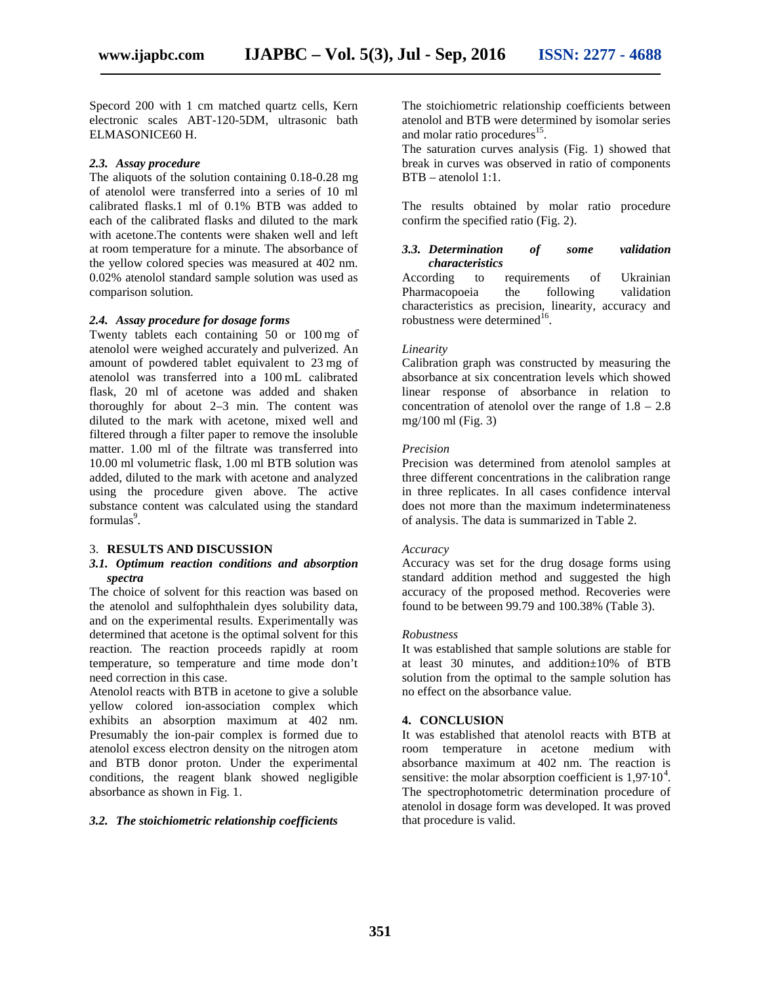Specord 200 with 1 cm matched quartz cells, Kern electronic scales ABT-120-5DM, ultrasonic bath ELMASONICE60 H.

#### *2.3. Assay procedure*

The aliquots of the solution containing 0.18-0.28 mg of atenolol were transferred into a series of 10 ml calibrated flasks.1 ml of 0.1% BTB was added to each of the calibrated flasks and diluted to the mark with acetone.The contents were shaken well and left at room temperature for a minute. The absorbance of the yellow colored species was measured at 402 nm. 0.02% atenolol standard sample solution was used as comparison solution.

#### *2.4. Assay procedure for dosage forms*

Twenty tablets each containing 50 or 100 mg of atenolol were weighed accurately and pulverized. An amount of powdered tablet equivalent to 23 mg of atenolol was transferred into a 100 mL calibrated flask, 20 ml of acetone was added and shaken thoroughly for about 2–3 min. The content was diluted to the mark with acetone, mixed well and filtered through a filter paper to remove the insoluble matter. 1.00 ml of the filtrate was transferred into 10.00 ml volumetric flask, 1.00 ml BTB solution was added, diluted to the mark with acetone and analyzed using the procedure given above. The active substance content was calculated using the standard formulas<sup>9</sup>.

#### 3. **RESULTS AND DISCUSSION**

#### *3.1. Optimum reaction conditions and absorption spectra*

The choice of solvent for this reaction was based on the atenolol and sulfophthalein dyes solubility data, and on the experimental results. Experimentally was determined that acetone is the optimal solvent for this reaction. The reaction proceeds rapidly at room temperature, so temperature and time mode don't need correction in this case.

Atenolol reacts with BTB in acetone to give a soluble yellow colored ion-association complex which exhibits an absorption maximum at 402 nm. Presumably the ion-pair complex is formed due to atenolol excess electron density on the nitrogen atom and BTB donor proton. Under the experimental conditions, the reagent blank showed negligible absorbance as shown in Fig. 1.

### *3.2. The stoichiometric relationship coefficients*

The stoichiometric relationship coefficients between atenolol and BTB were determined by isomolar series and molar ratio procedures<sup>15</sup>.

The saturation curves analysis (Fig. 1) showed that break in curves was observed in ratio of components BTB – atenolol 1:1.

The results obtained by molar ratio procedure confirm the specified ratio (Fig. 2).

#### *3.3. Determination of some validation characteristics*

According to requirements of Ukrainian Pharmacopoeia the following validation characteristics as precision, linearity, accuracy and robustness were determined $^{16}$ .

#### *Linearity*

Calibration graph was constructed by measuring the absorbance at six concentration levels which showed linear response of absorbance in relation to concentration of atenolol over the range of  $1.8 - 2.8$ mg/100 ml (Fig. 3)

#### *Precision*

Precision was determined from atenolol samples at three different concentrations in the calibration range in three replicates. In all cases confidence interval does not more than the maximum indeterminateness of analysis. The data is summarized in Table 2.

#### *Accuracy*

Accuracy was set for the drug dosage forms using standard addition method and suggested the high accuracy of the proposed method. Recoveries were found to be between 99.79 and 100.38% (Table 3).

#### *Robustness*

It was established that sample solutions are stable for at least 30 minutes, and addition±10% of BTB solution from the optimal to the sample solution has no effect on the absorbance value.

### **4. CONCLUSION**

It was established that atenolol reacts with BTB at room temperature in acetone medium with absorbance maximum at 402 nm. The reaction is sensitive: the molar absorption coefficient is  $1,97 \cdot 10^4$ . The spectrophotometric determination procedure of atenolol in dosage form was developed. It was proved that procedure is valid.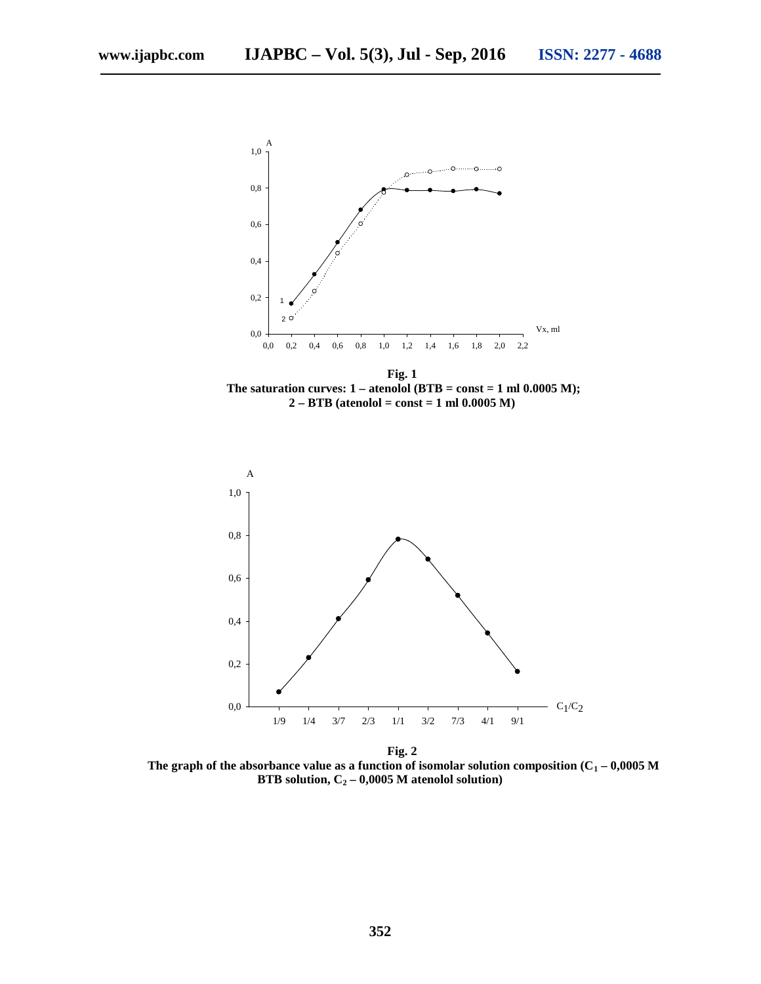

**Fig. 1** The saturation curves:  $1 -$  atenolol (BTB = const = 1 ml  $0.0005$  M); **2 – BTB (atenolol = const = 1 ml 0.0005 M)**



**Fig. 2** The graph of the absorbance value as a function of isomolar solution composition ( $\overline{1}$  – 0,0005 **BTB solution,**  $_{2}$  – 0,0005 atenolol solution)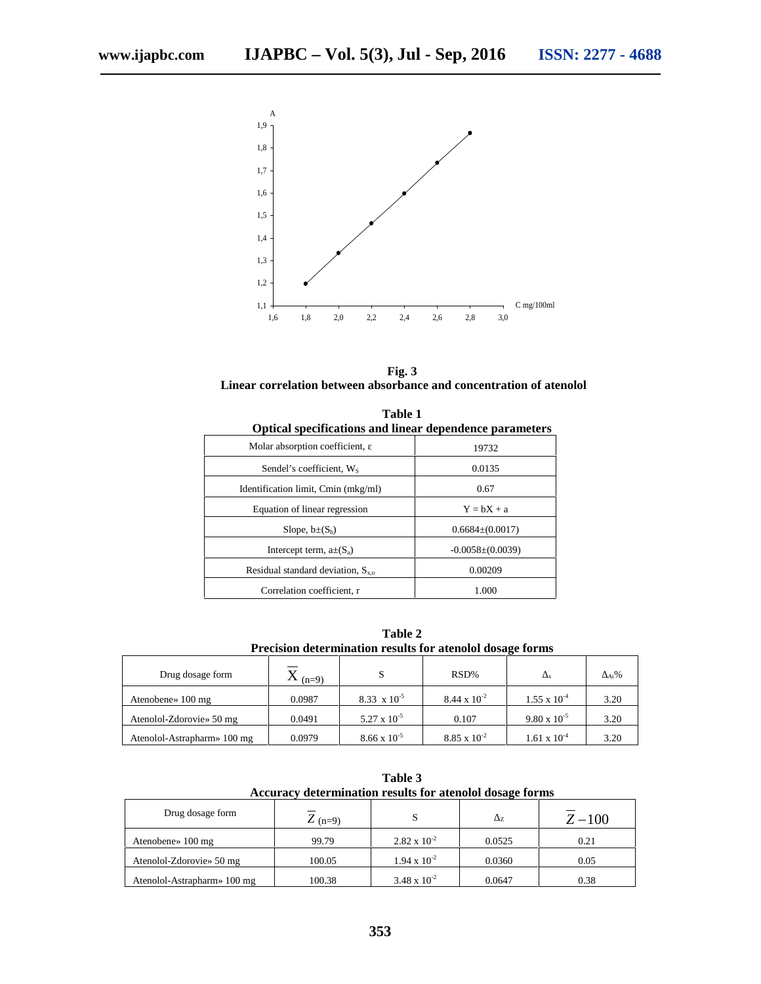

**Fig. 3 Linear correlation between absorbance and concentration of atenolol**

| ptical specifications and linear dependence parameters |                      |  |  |  |  |  |
|--------------------------------------------------------|----------------------|--|--|--|--|--|
| Molar absorption coefficient,                          | 19732                |  |  |  |  |  |
| Sendel's coefficient. Ws                               | 0.0135               |  |  |  |  |  |
| Identification limit, min (mkg/ml)                     | 0.67                 |  |  |  |  |  |
| Equation of linear regression                          | $Y = bX +$           |  |  |  |  |  |
| Slope, $b\pm(S_b)$                                     | $0.6684\pm(0.0017)$  |  |  |  |  |  |
| Intercept term, $\pm(S_a)$                             | $-0.0058\pm(0.0039)$ |  |  |  |  |  |
| Residual standard deviation, $S_{x}$                   | 0.00209              |  |  |  |  |  |
| orrelation coefficient. r                              | 1.000                |  |  |  |  |  |

**Table 1**

**Table 2 Precision determination results for atenolol dosage forms**

| Drug dosage form            | $(n=9)$ | S                     | RSD%                  |                       | $As\%$ |
|-----------------------------|---------|-----------------------|-----------------------|-----------------------|--------|
| Atenobene» 100 mg           | 0.0987  | $8.33 \times 10^{-5}$ | $8.44 \times 10^{-2}$ | $1.55 \times 10^{-4}$ | 3.20   |
| Atenolol-Zdorovie» 50 mg    | 0.0491  | $5.27 \times 10^{-5}$ | 0.107                 | $9.80 \times 10^{-5}$ | 3.20   |
| Atenolol-Astrapharm» 100 mg | 0.0979  | $8.66 \times 10^{-5}$ | $8.85 \times 10^{-2}$ | $1.61 \times 10^{-4}$ | 3.20   |

**Table 3 Accuracy determination results for atenolol dosage forms**

| Drug dosage form                     | $Z_{(n=9)}$ |                       | $\overline{ }$<br>∼ | $Z - 100$ |
|--------------------------------------|-------------|-----------------------|---------------------|-----------|
| Atenobene $\frac{100 \text{ mg}}{2}$ | 99.79       | $2.82 \times 10^{-2}$ | 0.0525              | 0.21      |
| Atenolol-Zdorovie» 50 mg             | 100.05      | $1.94 \times 10^{-2}$ | 0.0360              | 0.05      |
| Atenolol-Astrapharm» 100 mg          | 100.38      | $3.48 \times 10^{-2}$ | 0.0647              | 0.38      |